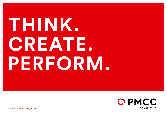# THINK. CREATE. PERFORM.



**pmcc-consulting.com**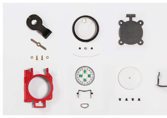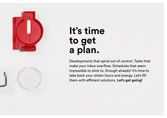

### **It's time to get a plan.**

Developments that spiral out of control. Tasks that make your inbox overflow. Schedules that seem impossible to stick to. Enough already! It's time to take back your stolen hours and energy. Let's fill them with efficient solutions. **Let's get going!**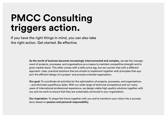## **PMCC Consulting triggers action.**

If you have the right things in mind, you can also take the right action. Get started. Be effective.

> **As the world of business becomes increasingly interconnected and complex,** we see the management of projects, processes, and organisations as a means to maintain competitive strength and to grow market share. This often comes with a hefty price tag, but we counter that with a different approach: clear, practical solutions that are simple to implement together with principles that support the efficient design of a project- and process-oriented organisation.

> **Our goal:** To coordinate all activities for the optimisation of projects, processes, and organisations – and eliminate superfluous tasks. With our wide range of technical competence and our many years of international professional experience, we design viable high-quality solutions together with you and we work to ensure that they are sustainably anchored in your organisation.

**Our inspiration:** To shape the future together with you and to transform your vision into a success story based on **passion and personal responsibility.**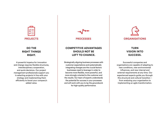

#### **DO THE RIGHT THINGS RIGHT.**

A powerful impetus for innovation and change requires flexible structures, interdisciplinary cooperation, and quick decisions. Our project management professionals support you in selecting projects in line with your strategy and implementing them efficiently to boost your company's added value.

#### **COMPETITIVE ADVANTAGES SHOULD NOT BE LEFT TO CHANCE.**

Strategically aligning business processes with customer expectations and systematically integrating changes are the crucial factors businesses need to leverage in order to become more flexible, more powerful, and more strongly oriented to the customer and the results. Our team of experts understands the potential for success in your processes and will work with you to lay the groundwork for high-quality performance.



#### **TURN VISION INTO SUCCESS.**

Successful companies and organisations are capable of adapting to new conditions, new environmental influences, and new internal and external requirements at any time. Our experienced experts guide you through this structural and cultural transition – from analysing your organisation to implementing an agile transformation.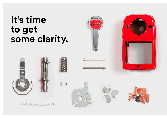### **It's time to get some clarity.**



**MAAMMAAMMAAMMA** 





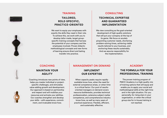





We want to equip your employees with exactly the skills they need in their role. To achieve this, we work with you to develop tailor-made, target groupspecific training concepts that harness the potential of your company and the employees involved. Proven didactic methodological concepts and new forms of learning ensure direct and lasting transfer into practice.

**TRAINING** 

#### CONSULTING

#### **TECHNICAL EXPERTISE AND GUARANTEED IMPLEMENTATION**

We view consulting as the goal-oriented development of high-quality solutions that will put your company at the top of its game. We focus on acutely pinpointing customer needs, shortening problem-solving times, achieving viable results tailored to your business, and anchoring these results sustainably. And we assume responsibility for the implementation.

#### COACHING **MAINTAIN YOUR AGILITY**

Coaching introduces new points of view, helps you master individual or projectspecific challenges, and stimulates value-adding growth and development. Our approach is based on partnership and respect and will mobilise your resources and activate your abilities. Our coaches strengthen and develop your skills – with experience, commitment, and invaluable know-how.

### MANAGEMENT ON DEMAND

#### **IMPLEMENT OUR EXPERTISE**

When capacity peaks require rapidly available know-how, when the need for external competence arises, or when time is a critical factor: Our pool of resultsoriented managers on demand covers resource bottlenecks, provides technical professionalism, extensive subject matter competence, and comprehensive industry know-how, as well as many years of practical experience. Flexible, efficient, and sustainably effective.

#### ACADEMY

#### **THE FORMULA FOR YOUR PROFESSIONAL TRAINING**

The proven training program of PMCC Academy is a high-quality mix of training options that will equip and enable you to apply your social and methodological skills at the right time and in the right situation. For you personally, for rising stars in your organisation, or when the critical group size for in-house training is not reached.